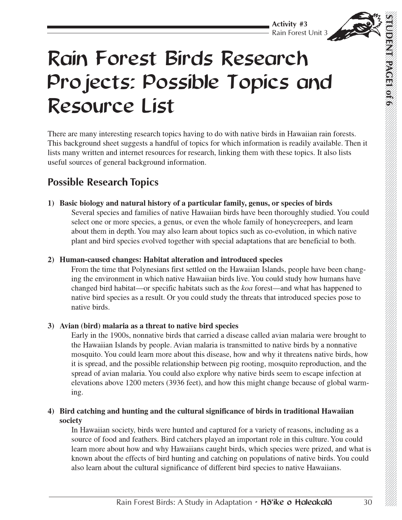# Rain Forest Birds Research Projects: Possible Topics and Resource List

There are many interesting research topics having to do with native birds in Hawaiian rain forests. This background sheet suggests a handful of topics for which information is readily available. Then if lists many written and internet resources for research, linking them with these topics. It also list: useful sources of general background information.

# **Possible Research Topics**

1) Basic biology and natural history of a particular family, genus, or species of birds Several species and families of native Hawaiian birds have been thoroughly studied. You could select one or more species, a genus, or even the whole family of honeycreepers, and learn about them in depth. You may also learn about topics such as co-evolution, in which native plant and bird species evolved together with special adaptations that are beneficial to both.

#### 2) Human-caused changes: Habitat alteration and introduced species

From the time that Polynesians first settled on the Hawaiian Islands, people have been changing the environment in which native Hawaiian birds live. You could study how humans have ing the environment in which native Hawaiian birds live. You could study how humans have<br>changed bird habitat—or specific habitats such as the *koa* forest—and what has happened to native bird species as a result. Or you could study the threats that introduced species pose to

#### 3) Avian (bird) malaria as a threat to native bird species

 $\alpha$  species  $\alpha$  and  $\alpha$  and  $\alpha$  and  $\alpha$  and  $\alpha$  and  $\alpha$  and  $\alpha$  and  $\alpha$  and  $\alpha$  and  $\alpha$  and  $\alpha$  and  $\alpha$  and  $\alpha$  and  $\alpha$  and  $\alpha$  and  $\alpha$  and  $\alpha$  and  $\alpha$  and  $\alpha$  and  $\alpha$  and  $\alpha$  and  $\alpha$  and  $\alpha$  and Early in the 1900s, nonnative birds that carried a disease called avian malaria were brought to the Hawaiian Islands by people. Avian malaria is transmitted to native birds by a nonnative mosquito. You could learn more about this disease, how and why it threatens native birds, how it is spread, and the possible relationship between pig rooting, mosquito reproduction, and the spread of avian malaria. You could also explore why native birds seem to escape infection at elevations above 1200 meters (3936 feet), and how this might change because of global warming.

#### 4) Bird catching and hunting and the cultural significance of birds in traditional Hawaiian society ety and the state of the state of the state of the state of the state of the state of the state of the state of the state of the state of the state of the state of the state of the state of the state of the state of the st

In Hawanan society, birds were hunted and captured for a variety of reasons, including as a source of food and feathers. Bird catchers played an important role in this culture. You could learn more about how and why Hawanans caught birds, which species were prized, and what i known about the effects of bird hunting and catching on populations of native birds. You could also learn about the cultural significance of different bird species to native Hawaiians.

,,,,,, ,,,,,, ,,,,,, ,,,,,, ,,,,,, ,,,,,, ,,,,,, ,,,,,, ,,,,,, ,,,,,, ,,,,,, ,,,,,, . . . . . . . . . . . . . . . . . . . . . . . . . . . . . . . . . . . . . . . . . . . . . . . . . . . . . . ,,,,,, ,,,,,, ,,,,,, ,,,,,, ,,,,,, ,,,,,, ,,,,,, ,,,,,, ,,,,,, ,,,,,, ,,,,,, ,,,,,, ,,,,,, ,,,,,, ,,,,,, ,,,,,, . . . . . . . . . . . . . . . . . . . . . . . . . . . . . . . . . . . . . . . . . . . . . . . . . . . . . . ,,,,,, ,,,,,, ,,,,,, ,,,,,, ,,,,,, ,,,,,, ,,,,,, ,,,,,, ,,,,,, ,,,,,, ,,,,,, ,,,,,, ,,,,,, ,,,,,, ,,,,,, ,,,,,, . . . . . . . . . . . . . . . . . . . . . . . . . . . . . . . . . . . . . . . . . . . . . . . . . . . . . . ,,,,,, ,,,,,, ,,,,,, ,,,,,, ,,,,,, ,,,,,, ,,,,,, ,,,,,, ,,,,,, ,,,,,, ,,,,,, ,,,,,, ,,,,,, ,,,,,, ,,,,,, ,,,,,, . . . . . . . . . . . . . . . . . . . . . . . . . . . . . . . . . . . . . . . . . . . . . . . . . . . . . . ,,,,,, ,,,,,, ,,,,,, ,,,,,, ,,,,,, ,,,,,, ,,,,,, ,,,,,, ,,,,,, ,,,,,, ,,,,,, ,,,,,, ,,,,,, ,,,,,, ,,,,,, ,,,,,, . . . . . . . . . . . . . . . . . . . . . . . . . . . . . . . . . . . . . . . . . . . . . . . . . . . . . . ,,,,,, ,,,,,, ,,,,,, ,,,,,, ,,,,,, ,,,,,, ,,,,,, ,,,,,, ,,,,,, ,,,,,, ,,,,,, ,,,,,, ,,,,,, ,,,,,, ,,,,,, ,,,,,, . . . . . . . . . . . . . . . . . . . . . . . . . . . . . . . . . . . . . . . . . . . . . . . . . . . . . . ,,,,,, ,,,,,, ,,,,,, ,,,,,, ,,,,,, ,,,,,, ,,,,,, ,,,,,, ,,,,,, ,,,,,, ,,,,,, ,,,,,, ,,,,,, ,,,,,, ,,,,,, ,,,,,, ,,,,,, . . . . . . . . . . . . . . . . . . . . . . . . . . . . . . . . . . . . . . . . . . . . . . . . ,,,,,, ,,,,,, ,,,,,, ,,,,,, ,,,,,,

,,,,,,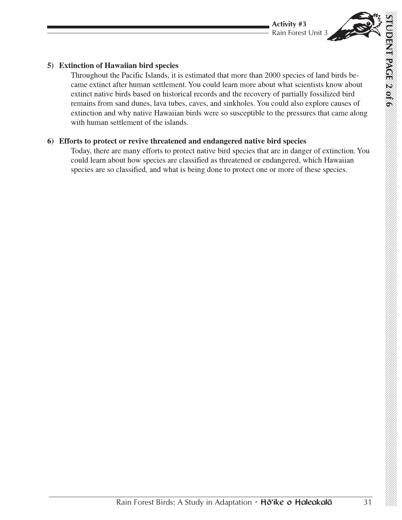,,,,,, ,,,,,, ,,,,,, ,,,,,, ,,,,,, ,,,,,, ,,,,,, ,,,,,, ,,,,,, ,,,,,, ,,,,,, ,,,,,, . . . . . . . . . . . . . . . . . . . . . . . . . . . . . . . . . . . . . . . . . . . . . . . . . . . . . . ,,,,,, ,,,,,, ,,,,,, ,,,,,, ,,,,,, ,,,,,, ,,,,,, ,,,,,, ,,,,,, ,,,,,, ,,,,,, ,,,,,, ,,,,,, ,,,,,, ,,,,,, ,,,,,, . . . . . . . . . . . . . . . . . . . . . . . . . . . . . . . . . . . . . . . . . . . . . . . . . . . . . . ,,,,,, ,,,,,, ,,,,,, ,,,,,, ,,,,,, ,,,,,, ,,,,,, ,,,,,, ,,,,,, ,,,,,, ,,,,,, ,,,,,, ,,,,,, ,,,,,, ,,,,,, ,,,,,, . . . . . . . . . . . . . . . . . . . . . . . . . . . . . . . . . . . . . . . . . . . . . . . . . . . . . . ,,,,,, ,,,,,, ,,,,,, ,,,,,, ,,,,,, ,,,,,, ,,,,,, ,,,,,, ,,,,,, ,,,,,, ,,,,,, ,,,,,, ,,,,,, ,,,,,, ,,,,,, ,,,,,, . . . . . . . . . . . . . . . . . . . . . . . . . . . . . . . . . . . . . . . . . . . . . . . . . . . . . . ,,,,,, ,,,,,, ,,,,,, ,,,,,, ,,,,,, ,,,,,, ,,,,,, ,,,,,, ,,,,,, ,,,,,, ,,,,,, ,,,,,, ,,,,,, ,,,,,, ,,,,,, ,,,,,, . . . . . . . . . . . . . . . . . . . . . . . . . . . . . . . . . . . . . . . . . . . . . . . . . . . . . . ,,,,,, ,,,,,, ,,,,,, ,,,,,, ,,,,,, ,,,,,, ,,,,,, ,,,,,, ,,,,,, ,,,,,, ,,,,,, ,,,,,, ,,,,,, ,,,,,, ,,,,,, ,,,,,, . . . . . . . . . . . . . . . . . . . . . . . . . . . . . . . . . . . . . . . . . . . . . . . . . . . . . . ,,,,,, ,,,,,, ,,,,,, ,,,,,, ,,,,,, ,,,,,, ,,,,,, ,,,,,, ,,,,,, ,,,,,, ,,,,,, ,,,,,, ,,,,,, ,,,,,, ,,,,,, ,,,,,, ,,,,,, . . . . . . . . . . . . . . . . . . . . . . . . . . . . . . . . . . . . . . . . . . . . . . . . ,,,,,, ,,,,,, ,,,,,, ,,,,,, ,,,,,,

### 5) Extinction of Hawaiian bird species

I hroughout the Pacific Islands, it is estimated that more than 2000 species of land birds became extinct after human settlement. You could learn more about what scientists know about extinct native birds based on historical records and the recovery of partially fossilized bird remains from sand dunes, lava tubes, caves, and sinkholes. You could also explore causes of extinction and why native Hawaiian birds were so susceptible to the pressures that came along with human settlement of the islands.

# 6) Efforts to protect or revive threatened and endangered native bird species

 $\mathcal{L}_{\mathcal{A}}$ Today, there are many efforts to protect native bird species that are in danger of extinction. You could learn about how species are classified as threatened or endangered, which Hawaiial species are so classified, and what is being done to protect one or more of these species.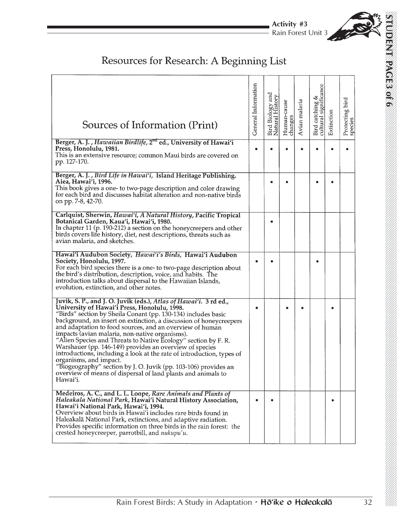# ,,,,,, ,,,,,, **STUDENT PACES OF** 12345 **- 12345 - 12345 - 12345 - 12345 - 12345 - 12345 - 12345 - 12345 - 12345 - 12345 - 12345 - 12345 - 12345 - 12345 - 12345 - 12345 - 12345 - 12345 - 12345 - 12345 - 12345 - 12345 - 12345 - 12345 - 12345 - 12345 - 12345 DX2**<br> **DX2**

 $\mathcal{L}$ 

,,,,,, ,,,,,, ,,,,,, ,,,,,, ,,,,,, ,,,,,, ,,,,,, ,,,,,, ,,,,,, ,,,,,, ,,,,,, ,,,,,, ,,,,,, ,,,,,, ,,,,,, . . . . . . . . . . . . . . . . . . . . . . . . . . . . . . . . . . . . . . . . . . . . . . . . . . . . . . ,,,,,, ,,,,,, ,,,,,, ,,,,,, ,,,,,, ,,,,,, ,,,,,, ,,,,,, ,,,,,, ,,,,,, ,,,,,, ,,,,,, ,,,,,, ,,,,,, ,,,,,, ,,,,,, . . . . . . . . . . . . . . . . . . . . . . . . . . . . . . . . . . . . . . . . . . . . . . . . . . . . . . ,,,,,, ,,,,,, ,,,,,, ,,,,,, ,,,,,, ,,,,,, ,,,,,, ,,,,,, ,,,,,, ,,,,,, ,,,,,, ,,,,,, ,,,,,, ,,,,,, ,,,,,, ,,,,,, . . . . . . . . . . . . . . . . . . . . . . . . . . . . . . . . . . . . . . . . . . . . . . . . . . . . . . ,,,,,, ,,,,,, ,,,,,, ,,,,,, ,,,,,, ,,,,,, ,,,,,, ,,,,,, ,,,,,, ,,,,,, ,,,,,, ,,,,,, ,,,,,, ,,,,,, ,,,,,, ,,,,,, . . . . . . . . . . . . . . . . . . . . . . . . . . . . . . . . . . . . . . . . . . . . . . . . . . . . . . ,,,,,, ,,,,,, ,,,,,, ,,,,,, ,,,,,, ,,,,,, ,,,,,, ,,,,,, ,,,,,, ,,,,,, ,,,,,, ,,,,,, ,,,,,, ,,,,,, ,,,,,, ,,,,,, . . . . . . . . . . . . . . . . . . . . . . . . . . . . . . . . . . . . . . . . . . . . . . . . . . . . . . ,,,,,, ,,,,,, ,,,,,, ,,,,,, ,,,,,, ,,,,,, ,,,,,, ,,,,,, ,,,,,, ,,,,,, ,,,,,, ,,,,,, ,,,,,, ,,,,,, ,,,,,, ,,,,,, . . . . . . . . . . . . . . . . . . . . . . . . . . . . . . . . . . . . . . . . . . . . . . . . . . . . . . ,,,,,, ,,,,,, ,,,,,, ,,,,,, ,,,,,, ,,,,,, ,,,,,, ,,,,,, ,,,,,, ,,,,,, ,,,,,, ,,,,,, ,,,,,, ,,,,,, ,,,,,, ,,,,,, ,,,,,, . . . . . . . . . . . . . . . . . . . . . . . . . . . . . . . . . . . . . . . . . . . . . . . . ,,,,,, ,,,,,, ,,,,,, ,,,,,, ,,,,,,

23 OK

# Resources for Research: A Beginning List

| Sources of Information (Print)                                                                                                                                                                                                                                                                                                                                                                                                                                                                                                                                                                                                                                                                                                                       | General Information | Bird Biology and<br>Natural History | Human-cause<br>changes | Avian malaria | Bird catching &<br>cultural significance | Extinction | Protecting bird<br>species |
|------------------------------------------------------------------------------------------------------------------------------------------------------------------------------------------------------------------------------------------------------------------------------------------------------------------------------------------------------------------------------------------------------------------------------------------------------------------------------------------------------------------------------------------------------------------------------------------------------------------------------------------------------------------------------------------------------------------------------------------------------|---------------------|-------------------------------------|------------------------|---------------|------------------------------------------|------------|----------------------------|
| Berger, A. J., Hawaiian Birdlife, 2 <sup>nd</sup> ed., University of Hawai'i<br>Press, Honolulu, 1981.<br>This is an extensive resource; common Maui birds are covered on<br>pp. 127-170.                                                                                                                                                                                                                                                                                                                                                                                                                                                                                                                                                            |                     |                                     |                        |               |                                          |            |                            |
| Berger, A. J., Bird Life in Hawai'i, Island Heritage Publishing.<br>Aiea, Hawai'i, 1996.<br>This book gives a one- to two-page description and color drawing<br>for each bird and discusses habitat alteration and non-native birds<br>on pp. 7-8, 42-70.                                                                                                                                                                                                                                                                                                                                                                                                                                                                                            |                     |                                     |                        |               |                                          |            |                            |
| Carlquist, Sherwin, Hawai'i, A Natural History, Pacific Tropical<br>Botanical Garden, Kaua'i, Hawai'i, 1980.<br>In chapter 11 (p. 190-212) a section on the honeycreepers and other<br>birds covers life history, diet, nest descriptions, threats such as<br>avian malaria, and sketches.                                                                                                                                                                                                                                                                                                                                                                                                                                                           |                     |                                     |                        |               |                                          |            |                            |
| Hawai'i Audubon Society, Hawai'i's Birds, Hawai'i Audubon<br>Society, Honolulu, 1997.<br>For each bird species there is a one- to two-page description about<br>the bird's distribution, description, voice, and habits. The<br>introduction talks about dispersal to the Hawaiian Islands,<br>evolution, extinction, and other notes.                                                                                                                                                                                                                                                                                                                                                                                                               |                     |                                     |                        |               | ۰                                        |            |                            |
| Juvik, S. P., and J. O. Juvik (eds.), Atlas of Hawai'i. 3 rd ed.,<br>University of Hawai'i Press, Honolulu, 1998.<br>"Birds" section by Sheila Conant (pp. 130-134) includes basic<br>background, an insert on extinction, a discussion of honeycreepers<br>and adaptation to food sources, and an overview of human<br>impacts (avian malaria, non-native organisms).<br>"Alien Species and Threats to Native Ecology" section by F. R.<br>Warshauer (pp. 146-149) provides an overview of species<br>introductions, including a look at the rate of introduction, types of<br>organisms, and impact.<br>Biogeography" section by J. O. Juvik (pp. 103-106) provides an<br>overview of means of dispersal of land plants and animals to<br>Hawai'i. |                     |                                     |                        |               |                                          |            |                            |
| Medeiros, A. C., and L. L. Loope, Rare Animals and Plants of<br>Haleakala National Park, Hawai'i Natural History Association,<br>Hawai'i National Park, Hawai'i, 1994.<br>Overview about birds in Hawai'i includes rare birds found in<br>Haleakalā National Park, extinctions, and adaptive radiation.<br>Provides specific information on three birds in the rain forest: the<br>crested honeycreeper, parrotbill, and nukupu'u.                                                                                                                                                                                                                                                                                                                   | ٠                   | $\bullet$                           |                        |               |                                          | ۰          |                            |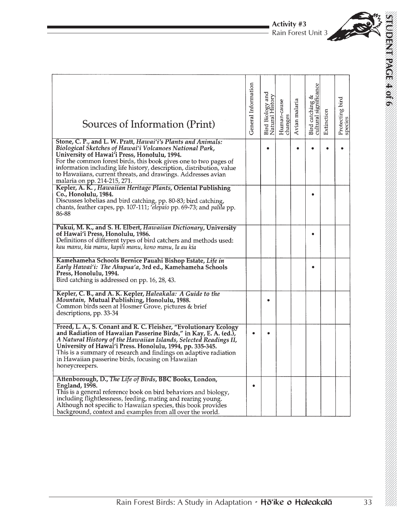| Sources of Information (Print)                                                                                                                                                                                                                                                                                                                                                                                      | General Information | Bird Biology and<br>Natural History | Human-cause<br>changes | Avian malaria | Bird catching &<br>cultural significance | Extinction | Protecting bird<br>species |
|---------------------------------------------------------------------------------------------------------------------------------------------------------------------------------------------------------------------------------------------------------------------------------------------------------------------------------------------------------------------------------------------------------------------|---------------------|-------------------------------------|------------------------|---------------|------------------------------------------|------------|----------------------------|
| Stone, C. P., and L. W. Pratt, Hawai'i's Plants and Animals:<br>Biological Sketches of Hawai'i Volcanoes National Park,<br>University of Hawai'i Press, Honolulu, 1994.<br>For the common forest birds, this book gives one to two pages of<br>information including life history, description, distribution, value<br>to Hawaiians, current threats, and drawings. Addresses avian<br>malaria on pp. 214-215, 271. |                     |                                     |                        |               |                                          |            |                            |
| Kepler, A. K., Hawaiian Heritage Plants, Oriental Publishing<br>Co., Honolulu, 1984.<br>Discusses lobelias and bird catching, pp. 80-83; bird catching,<br>chants, feather capes, pp. 107-111; <i>'elepaio</i> pp. 69-73; and <i>palila</i> pp.<br>86-88                                                                                                                                                            |                     |                                     |                        |               | $\bullet$                                |            |                            |
| Pukui, M. K., and S. H. Elbert, Hawaiian Dictionary, University<br>of Hawai'i Press, Honolulu, 1986.<br>Definitions of different types of bird catchers and methods used:<br>kau manu, kia manu, kapili manu, kono manu, la au kia<br>Kamehameha Schools Bernice Pauahi Bishop Estate, Life in                                                                                                                      |                     |                                     |                        |               | $\bullet$                                |            |                            |
| Early Hawai'i: The Ahupua'a, 3rd ed., Kamehameha Schools<br>Press, Honolulu, 1994.<br>Bird catching is addressed on pp. 16, 28, 43.                                                                                                                                                                                                                                                                                 |                     |                                     |                        |               |                                          |            |                            |
| Kepler, C. B., and A. K. Kepler, Haleakala: A Guide to the<br>Mountain, Mutual Publishing, Honolulu, 1988.<br>Common birds seen at Hosmer Grove, pictures & brief<br>descriptions, pp. 33-34                                                                                                                                                                                                                        |                     |                                     |                        |               |                                          |            |                            |
| Freed, L. A., S. Conant and R. C. Fleisher, "Evolutionary Ecology<br>and Radiation of Hawaiian Passerine Birds," in Kay, E. A. (ed.),<br>A Natural History of the Hawaiian Islands, Selected Readings II,<br>University of Hawai'i Press. Honolulu, 1994, pp. 335-345.<br>This is a summary of research and findings on adaptive radiation<br>in Hawaiian passerine birds, focusing on Hawaiian<br>honeycreepers.   |                     |                                     |                        |               |                                          |            |                            |
| Attenborough, D., The Life of Birds, BBC Books, London,<br>England, 1998.<br>This is a general reference book on bird behaviors and biology,<br>including flightlessness, feeding, mating and rearing young.<br>Although not specific to Hawaiian species, this book provides<br>background, context and examples from all over the world.                                                                          |                     |                                     |                        |               |                                          |            |                            |

,,,,,, ,,,,,, ,,,,,, ,,,,,, ,,,,,, ,,,,,, ,,,,,, ,,,,,, ,,,,,, ,,,,,, ,,,,,, ,,,,,, . . . . . . . . . . . . . . . . . . . . . . . . . . . . . . . . . . . . . . . . . . . . . . . . . . . . . . ,,,,,, ,,,,,, ,,,,,, ,,,,,, ,,,,,, ,,,,,, ,,,,,, ,,,,,, ,,,,,, ,,,,,, ,,,,,, ,,,,,, ,,,,,, ,,,,,, ,,,,,, ,,,,,, . . . . . . . . . . . . . . . . . . . . . . . . . . . . . . . . . . . . . . . . . . . . . . . . . . . . . . ,,,,,, ,,,,,, ,,,,,, ,,,,,, ,,,,,, ,,,,,, ,,,,,, ,,,,,, ,,,,,, ,,,,,, ,,,,,, ,,,,,, ,,,,,, ,,,,,, ,,,,,, ,,,,,, . . . . . . . . . . . . . . . . . . . . . . . . . . . . . . . . . . . . . . . . . . . . . . . . . . . . . . ,,,,,, ,,,,,, ,,,,,, ,,,,,, ,,,,,, ,,,,,, ,,,,,, ,,,,,, ,,,,,, ,,,,,, ,,,,,, ,,,,,, ,,,,,, ,,,,,, ,,,,,, ,,,,,, . . . . . . . . . . . . . . . . . . . . . . . . . . . . . . . . . . . . . . . . . . . . . . . . . . . . . . ,,,,,, ,,,,,, ,,,,,, ,,,,,, ,,,,,, ,,,,,, ,,,,,, ,,,,,, ,,,,,, ,,,,,, ,,,,,, ,,,,,, ,,,,,, ,,,,,, ,,,,,, ,,,,,, . . . . . . . . . . . . . . . . . . . . . . . . . . . . . . . . . . . . . . . . . . . . . . . . . . . . . . ,,,,,, ,,,,,, ,,,,,, ,,,,,, ,,,,,, ,,,,,, ,,,,,, ,,,,,, ,,,,,, ,,,,,, ,,,,,, ,,,,,, ,,,,,, ,,,,,, ,,,,,, ,,,,,, . . . . . . . . . . . . . . . . . . . . . . . . . . . . . . . . . . . . . . . . . . . . . . . . . . . . . . ,,,,,, ,,,,,, ,,,,,, ,,,,,, ,,,,,, ,,,,,, ,,,,,, ,,,,,, ,,,,,, ,,,,,, ,,,,,, ,,,,,, ,,,,,, ,,,,,, ,,,,,, ,,,,,, ,,,,,, . . . . . . . . . . . . . . . . . . . . . . . . . . . . . . . . . . . . . . . . . . . . . . . . ,,,,,, ,,,,,, ,,,,,, ,,,,,, ,,,,,,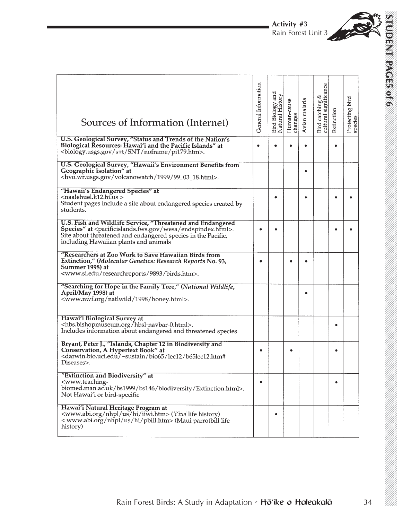| Sources of Information (Internet)                                                                                                                                                                                                                                  | General Information | Bird Biology and<br>Natural History | Human-cause<br>changes | Avian malaria | cultural significance<br>ళ<br>Bird catching | Extinction | Protecting bird<br>species |
|--------------------------------------------------------------------------------------------------------------------------------------------------------------------------------------------------------------------------------------------------------------------|---------------------|-------------------------------------|------------------------|---------------|---------------------------------------------|------------|----------------------------|
| U.S. Geological Survey, "Status and Trends of the Nation's<br>Biological Resources: Hawai'i and the Pacific Islands" at<br><biology.usgs.gov noframe="" pi179.htm="" s+t="" snt="">.</biology.usgs.gov>                                                            |                     |                                     |                        |               |                                             |            |                            |
| U.S. Geological Survey, "Hawaii's Environment Benefits from<br>Geographic Isolation" at<br><hvo.wr.usgs.gov 1999="" 99_03_18.html="" volcanowatch="">.</hvo.wr.usgs.gov>                                                                                           |                     |                                     |                        | ٠             |                                             |            |                            |
| "Hawaii's Endangered Species" at<br><naalehuel.k12.hi.us><br/>Student pages include a site about endangered species created by<br/>students.</naalehuel.k12.hi.us>                                                                                                 |                     |                                     |                        |               |                                             |            |                            |
| U.S. Fish and Wildlife Service, "Threatened and Endangered<br>Species" at <pacificislands.fws.gov endspindex.html="" wesa="">.<br/>Site about threatened and endangered species in the Pacific,<br/>including Hawaiian plants and animals</pacificislands.fws.gov> |                     |                                     |                        |               |                                             |            |                            |
| "Researchers at Zoo Work to Save Hawaiian Birds from<br>Extinction," (Molecular Genetics: Research Reports No. 93,<br>Summer 1998) at<br><www.si.edu 9893="" birds.htm="" researchreports="">.</www.si.edu>                                                        |                     |                                     |                        |               |                                             |            |                            |
| "Searching for Hope in the Family Tree," (National Wildlife,<br>April/May 1998) at<br><www.nwf.org 1998="" honey.html="" natlwild="">.</www.nwf.org>                                                                                                               |                     |                                     |                        |               |                                             |            |                            |
| Hawai'i Biological Survey at<br><hbs.bishopmuseum.org hbsl-navbar-0.html="">.<br/>Includes information about endangered and threatened species</hbs.bishopmuseum.org>                                                                                              |                     |                                     |                        |               |                                             | ٠          |                            |
| Bryant, Peter J., "Islands, Chapter 12 in Biodiversity and<br>Conservation, A Hypertext Book" at<br><darwin.bio.uci.edu b65lec12.htm#<br="" bio65="" lec12="" ~sustain="">Diseases&gt;.</darwin.bio.uci.edu>                                                       |                     |                                     |                        |               |                                             |            |                            |
| "Extinction and Biodiversity" at<br><www.teaching-<br>biomed.man.ac.uk/bs1999/bs146/biodiversity/Extinction.html&gt;.<br/>Not Hawai'i or bird-specific</www.teaching-<br>                                                                                          | $\bullet$           |                                     |                        |               |                                             | ٠          |                            |
| Hawai'i Natural Heritage Program at<br><www.abi.org hi="" iiwi.htm="" nhpl="" us=""> ('i'iwi life history)<br/>&lt; www.abi.org/nhpl/us/hi/pbill.htm&gt; (Maui parrotbill life<br/>history)</www.abi.org>                                                          |                     | ٠                                   |                        |               |                                             |            |                            |

,,,,,, ,,,,,, ,,,,,, ,,,,,, ,,,,,, ,,,,,, ,,,,,, ,,,,,, ,,,,,, ,,,,,, ,,,,,, ,,,,,, ,,,,,, ,,,,,, ,,,,,, . . . . . . . . . . . . . . . . . . . . . . . . . . . . . . . . . . . . . . . . . . . . . . . . . . . . . . ,,,,,, ,,,,,, ,,,,,, ,,,,,, ,,,,,, ,,,,,, ,,,,,, ,,,,,, ,,,,,, ,,,,,, ,,,,,, ,,,,,, ,,,,,, ,,,,,, ,,,,,, ,,,,,, . . . . . . . . . . . . . . . . . . . . . . . . . . . . . . . . . . . . . . . . . . . . . . . . . . . . . . ,,,,,, ,,,,,, ,,,,,, ,,,,,, ,,,,,, ,,,,,, ,,,,,, ,,,,,, ,,,,,, ,,,,,, ,,,,,, ,,,,,, ,,,,,, ,,,,,, ,,,,,, ,,,,,, . . . . . . . . . . . . . . . . . . . . . . . . . . . . . . . . . . . . . . . . . . . . . . . . . . . . . . ,,,,,, ,,,,,, ,,,,,, ,,,,,, ,,,,,, ,,,,,, ,,,,,, ,,,,,, ,,,,,, ,,,,,, ,,,,,, ,,,,,, ,,,,,, ,,,,,, ,,,,,, ,,,,,, . . . . . . . . . . . . . . . . . . . . . . . . . . . . . . . . . . . . . . . . . . . . . . . . . . . . . . ,,,,,, ,,,,,, ,,,,,, ,,,,,, ,,,,,, ,,,,,, ,,,,,, ,,,,,, ,,,,,, ,,,,,, ,,,,,, ,,,,,, ,,,,,, ,,,,,, ,,,,,, ,,,,,, . . . . . . . . . . . . . . . . . . . . . . . . . . . . . . . . . . . . . . . . . . . . . . . . . . . . . . ,,,,,, ,,,,,, ,,,,,, ,,,,,, ,,,,,, ,,,,,, ,,,,,, ,,,,,, ,,,,,, ,,,,,, ,,,,,, ,,,,,, ,,,,,, ,,,,,, ,,,,,, ,,,,,, . . . . . . . . . . . . . . . . . . . . . . . . . . . . . . . . . . . . . . . . . . . . . . . . . . . . . . ,,,,,, ,,,,,, ,,,,,, ,,,,,, ,,,,,, ,,,,,, ,,,,,, ,,,,,, ,,,,,, ,,,,,, ,,,,,, ,,,,,, ,,,,,, ,,,,,, ,,,,,, ,,,,,, ,,,,,, . . . . . . . . . . . . . . . . . . . . . . . . . . . . . . . . . . . . . . . . . . . . . . . . ,,,,,, ,,,,,, ,,,,,, ,,,,,, ,,,,,,